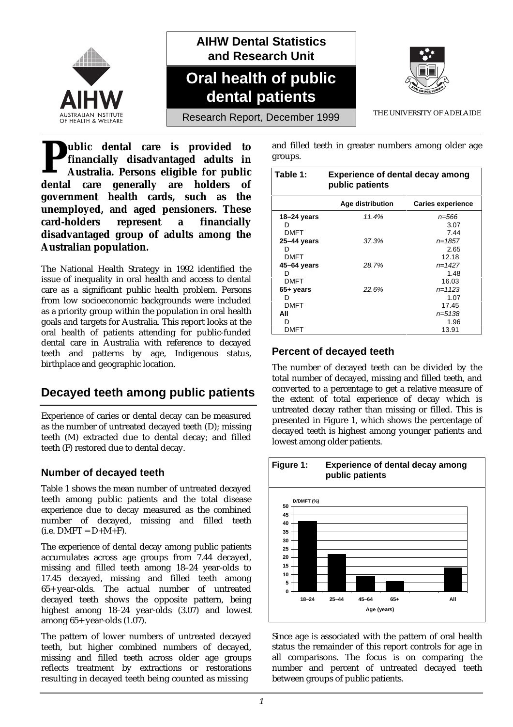

**AIHW Dental Statistics and Research Unit**

# **Oral health of public dental patients**



Research Report, December 1999 THE UNIVERSITY OF ADELAIDE

**ublic dental care is provided to financially disadvantaged adults in Australia. Persons eligible for public dental care is provided to financially disadvantaged adults in Australia. Persons eligible for public dental care generally are holders of government health cards, such as the unemployed, and aged pensioners. These card-holders represent a financially disadvantaged group of adults among the Australian population.**

The National Health Strategy in 1992 identified the issue of inequality in oral health and access to dental care as a significant public health problem. Persons from low socioeconomic backgrounds were included as a priority group within the population in oral health goals and targets for Australia. This report looks at the oral health of patients attending for public-funded dental care in Australia with reference to decayed teeth and patterns by age, Indigenous status, birthplace and geographic location.

# **Decayed teeth among public patients**

Experience of caries or dental decay can be measured as the number of untreated decayed teeth (D); missing teeth (M) extracted due to dental decay; and filled teeth (F) restored due to dental decay.

### **Number of decayed teeth**

Table 1 shows the mean number of untreated decayed teeth among public patients and the total disease experience due to decay measured as the combined number of decayed, missing and filled teeth  $(i.e. DMFT = D+M+F).$ 

The experience of dental decay among public patients accumulates across age groups from 7.44 decayed, missing and filled teeth among 18–24 year-olds to 17.45 decayed, missing and filled teeth among 65+ year-olds. The actual number of untreated decayed teeth shows the opposite pattern, being highest among 18–24 year-olds (3.07) and lowest among 65+ year-olds (1.07).

The pattern of lower numbers of untreated decayed teeth, but higher combined numbers of decayed, missing and filled teeth across older age groups reflects treatment by extractions or restorations resulting in decayed teeth being counted as missing

and filled teeth in greater numbers among older age groups.

| Table 1:      | <b>Experience of dental decay among</b><br>public patients |                          |  |  |
|---------------|------------------------------------------------------------|--------------------------|--|--|
|               | Age distribution                                           | <b>Caries experience</b> |  |  |
| 18–24 years   | 11.4%                                                      | n=566                    |  |  |
| D             |                                                            | 3.07                     |  |  |
| <b>DMFT</b>   |                                                            | 7.44                     |  |  |
| $25-44$ years | 37.3%                                                      | $n = 1857$               |  |  |
| D             |                                                            | 2.65                     |  |  |
| <b>DMFT</b>   |                                                            | 12.18                    |  |  |
| 45-64 years   | 28.7%                                                      | $n = 1427$               |  |  |
| D             |                                                            | 1.48                     |  |  |
| <b>DMFT</b>   |                                                            | 16.03                    |  |  |
| 65+ years     | 22.6%                                                      | $n = 1123$               |  |  |
| D             |                                                            | 1.07                     |  |  |
| <b>DMFT</b>   |                                                            | 17.45                    |  |  |
| All           |                                                            | n=5138                   |  |  |
| D             |                                                            | 1.96                     |  |  |
| DMFT          |                                                            | 13.91                    |  |  |

### **Percent of decayed teeth**

The number of decayed teeth can be divided by the total number of decayed, missing and filled teeth, and converted to a percentage to get a relative measure of the extent of total experience of decay which is untreated decay rather than missing or filled. This is presented in Figure 1, which shows the percentage of decayed teeth is highest among younger patients and lowest among older patients.



Since age is associated with the pattern of oral health status the remainder of this report controls for age in all comparisons. The focus is on comparing the number and percent of untreated decayed teeth between groups of public patients.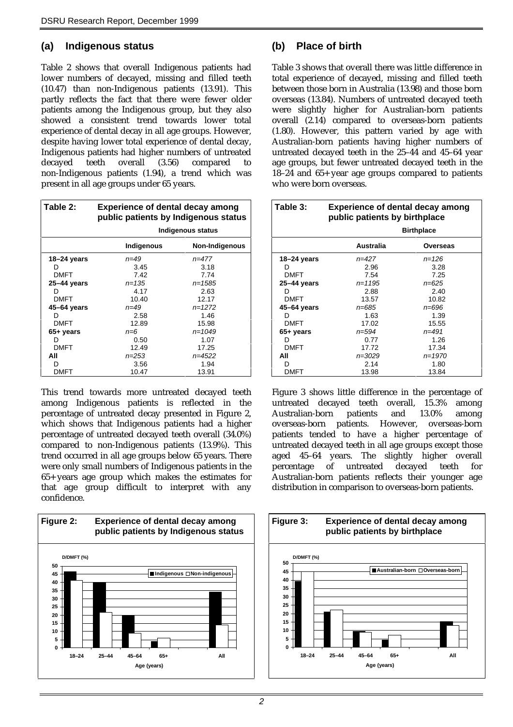### **(a) Indigenous status**

Table 2 shows that overall Indigenous patients had lower numbers of decayed, missing and filled teeth (10.47) than non-Indigenous patients (13.91). This partly reflects the fact that there were fewer older patients among the Indigenous group, but they also showed a consistent trend towards lower total experience of dental decay in all age groups. However, despite having lower total experience of dental decay, Indigenous patients had higher numbers of untreated decayed teeth overall (3.56) compared to non-Indigenous patients (1.94), a trend which was present in all age groups under 65 years.

| Table 2:    | <b>Experience of dental decay among</b><br>public patients by Indigenous status |                |  |  |
|-------------|---------------------------------------------------------------------------------|----------------|--|--|
|             | Indigenous status                                                               |                |  |  |
|             | Indigenous                                                                      | Non-Indigenous |  |  |
| 18-24 years | $n = 49$                                                                        | $n = 477$      |  |  |
|             | 3.45                                                                            | 3.18           |  |  |
| <b>DMFT</b> | 7.42                                                                            | 7.74           |  |  |
| 25–44 years | $n = 1.35$                                                                      | $n = 1585$     |  |  |
| D           | 4.17                                                                            | 2.63           |  |  |
| <b>DMFT</b> | 10.40                                                                           | 12.17          |  |  |
| 45–64 years | $n = 49$                                                                        | $n = 1272$     |  |  |
| D           | 2.58                                                                            | 1.46           |  |  |
| <b>DMFT</b> | 12.89<br>15.98                                                                  |                |  |  |
| 65+ years   | $n=6$                                                                           | $n = 1049$     |  |  |
| D           | 1.07<br>0.50                                                                    |                |  |  |
| <b>DMFT</b> | 12.49<br>17.25                                                                  |                |  |  |
| All         | $n = 4522$<br>$n = 253$                                                         |                |  |  |
| D           | 3.56                                                                            | 1.94           |  |  |
| DMFT        | 10.47                                                                           | 13.91          |  |  |

This trend towards more untreated decayed teeth among Indigenous patients is reflected in the percentage of untreated decay presented in Figure 2, which shows that Indigenous patients had a higher percentage of untreated decayed teeth overall (34.0%) compared to non-Indigenous patients (13.9%). This trend occurred in all age groups below 65 years. There were only small numbers of Indigenous patients in the 65+ years age group which makes the estimates for that age group difficult to interpret with any confidence.



### **(b) Place of birth**

Table 3 shows that overall there was little difference in total experience of decayed, missing and filled teeth between those born in Australia (13.98) and those born overseas (13.84). Numbers of untreated decayed teeth were slightly higher for Australian-born patients overall (2.14) compared to overseas-born patients (1.80). However, this pattern varied by age with Australian-born patients having higher numbers of untreated decayed teeth in the 25–44 and 45–64 year age groups, but fewer untreated decayed teeth in the 18–24 and 65+ year age groups compared to patients who were born overseas.

| Table 3:    | <b>Experience of dental decay among</b><br>public patients by birthplace |            |  |  |
|-------------|--------------------------------------------------------------------------|------------|--|--|
|             | <b>Birthplace</b>                                                        |            |  |  |
|             | Australia                                                                | Overseas   |  |  |
| 18–24 years | $n = 427$                                                                | $n = 126$  |  |  |
| D           | 2.96                                                                     | 3.28       |  |  |
| <b>DMFT</b> | 7.54                                                                     | 7.25       |  |  |
| 25-44 years | $n = 1195$                                                               | $n = 625$  |  |  |
| D           | 2.88                                                                     | 2.40       |  |  |
| <b>DMFT</b> | 13.57                                                                    | 10.82      |  |  |
| 45–64 years | n=685                                                                    | $n = 696$  |  |  |
| D           | 1.63                                                                     | 1.39       |  |  |
| <b>DMFT</b> | 17.02                                                                    | 15.55      |  |  |
| 65+ years   | n=594                                                                    | $n = 491$  |  |  |
| D           | 0.77                                                                     | 1.26       |  |  |
| <b>DMFT</b> | 17.72                                                                    | 17.34      |  |  |
| All         | n=3029                                                                   | $n = 1970$ |  |  |
| D           | 2.14                                                                     | 1.80       |  |  |
| <b>DMFT</b> | 13.98                                                                    | 13.84      |  |  |

Figure 3 shows little difference in the percentage of untreated decayed teeth overall, 15.3% among Australian-born patients and 13.0% among overseas-born patients. However, overseas-born patients tended to have a higher percentage of untreated decayed teeth in all age groups except those aged 45–64 years. The slightly higher overall percentage of untreated decayed teeth for Australian-born patients reflects their younger age distribution in comparison to overseas-born patients.

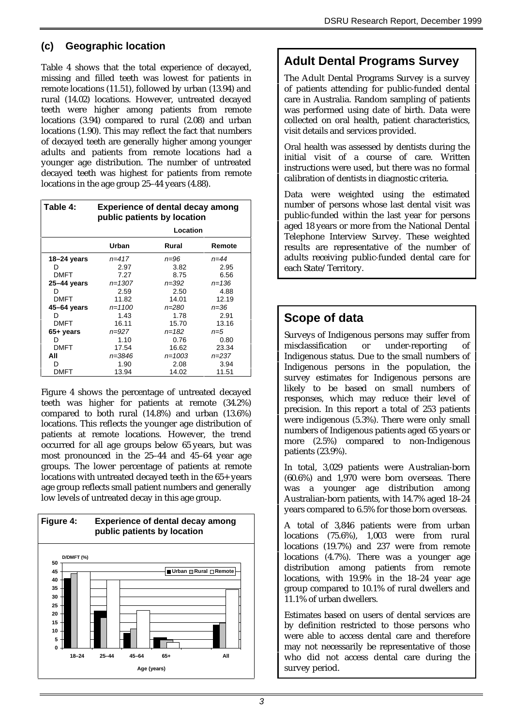### **(c) Geographic location**

Table 4 shows that the total experience of decayed, missing and filled teeth was lowest for patients in remote locations (11.51), followed by urban (13.94) and rural (14.02) locations. However, untreated decayed teeth were higher among patients from remote locations (3.94) compared to rural (2.08) and urban locations (1.90). This may reflect the fact that numbers of decayed teeth are generally higher among younger adults and patients from remote locations had a younger age distribution. The number of untreated decayed teeth was highest for patients from remote locations in the age group 25–44 years (4.88).

| Table 4:        | <b>Experience of dental decay among</b><br>public patients by location |            |           |  |
|-----------------|------------------------------------------------------------------------|------------|-----------|--|
|                 | Location                                                               |            |           |  |
|                 | Urban                                                                  | Rural      | Remote    |  |
| 18–24 years     | $n = 417$                                                              | n=96       | $n = 44$  |  |
| D               | 2.97                                                                   | 3.82       | 2.95      |  |
| <b>DMFT</b>     | 7.27                                                                   | 8.75       | 6.56      |  |
| $25 - 44$ years | $n = 1307$                                                             | $n = 392$  | $n = 136$ |  |
| D               | 2.59                                                                   | 2.50       | 4.88      |  |
| <b>DMFT</b>     | 11.82                                                                  | 14.01      | 12.19     |  |
| 45-64 years     | $n = 1100$                                                             | $n = 280$  | $n = 36$  |  |
| D               | 1.43                                                                   | 1.78       | 2.91      |  |
| <b>DMFT</b>     | 16.11                                                                  | 15.70      | 13.16     |  |
| 65+ years       | $n = 927$                                                              | $n = 182$  | $n = 5$   |  |
| D               | 1.10                                                                   | 0.76       | 0.80      |  |
| <b>DMFT</b>     | 17.54                                                                  | 16.62      | 23.34     |  |
| All             | n=3846                                                                 | $n = 1003$ | $n = 237$ |  |
| D               | 1.90                                                                   | 2.08       | 3.94      |  |
| DMFT            | 13.94                                                                  | 14.02      | 11.51     |  |

Figure 4 shows the percentage of untreated decayed teeth was higher for patients at remote (34.2%) compared to both rural (14.8%) and urban (13.6%) locations. This reflects the younger age distribution of patients at remote locations. However, the trend occurred for all age groups below 65 years, but was most pronounced in the 25–44 and 45–64 year age groups. The lower percentage of patients at remote locations with untreated decayed teeth in the 65+ years age group reflects small patient numbers and generally low levels of untreated decay in this age group.



## **Adult Dental Programs Survey**

The Adult Dental Programs Survey is a survey of patients attending for public-funded dental care in Australia. Random sampling of patients was performed using date of birth. Data were collected on oral health, patient characteristics, visit details and services provided.

Oral health was assessed by dentists during the initial visit of a course of care. Written instructions were used, but there was no formal calibration of dentists in diagnostic criteria.

Data were weighted using the estimated number of persons whose last dental visit was public-funded within the last year for persons aged 18 years or more from the National Dental Telephone Interview Survey. These weighted results are representative of the number of adults receiving public-funded dental care for each State/Territory.

# **Scope of data**

Surveys of Indigenous persons may suffer from misclassification or under-reporting of Indigenous status. Due to the small numbers of Indigenous persons in the population, the survey estimates for Indigenous persons are likely to be based on small numbers of responses, which may reduce their level of precision. In this report a total of 253 patients were indigenous (5.3%). There were only small numbers of Indigenous patients aged 65 years or more (2.5%) compared to non-Indigenous patients (23.9%).

In total, 3,029 patients were Australian-born (60.6%) and 1,970 were born overseas. There was a younger age distribution among Australian-born patients, with 14.7% aged 18–24 years compared to 6.5% for those born overseas.

A total of 3,846 patients were from urban locations (75.6%), 1,003 were from rural locations (19.7%) and 237 were from remote locations (4.7%). There was a younger age distribution among patients from remote locations, with 19.9% in the 18–24 year age group compared to 10.1% of rural dwellers and 11.1% of urban dwellers.

Estimates based on users of dental services are by definition restricted to those persons who were able to access dental care and therefore may not necessarily be representative of those who did not access dental care during the survey period.